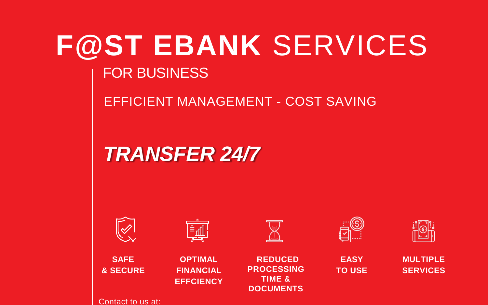# **F@ST EBANK** SERVICES

## FOR BUSINESS

EFFICIENT MANAGEMENT - COST SAVING

## *TRANSFER 24/7*



**SAFE & SECURE**



**OPTIMAL FINANCIAL EFFCIENCY**



**REDUCED PROCESSING TIME & DOCUMENTS**



**EASY TO USE**



**MULTIPLE SERVICES**

Contact to us at: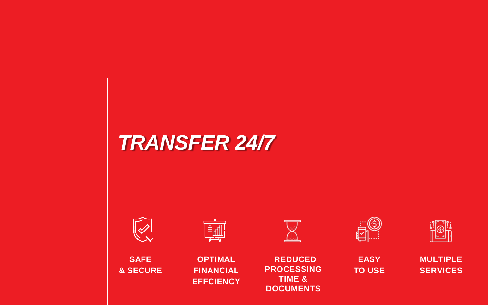## *TRANSFER 24/7*



**SAFE & SECURE**



**OPTIMAL FINANCIAL EFFCIENCY**



**REDUCED PROCESSING TIME & DOCUMENTS**



**EASY TO USE**



**MULTIPLE SERVICES**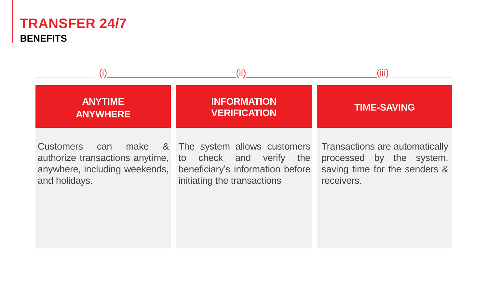### **TRANSFER 24/7 BENEFITS**

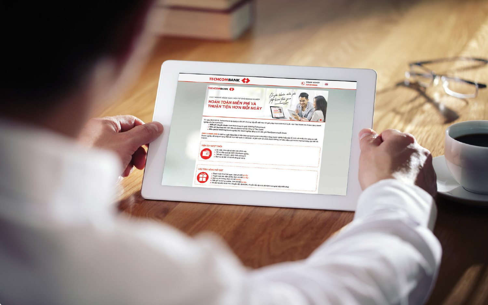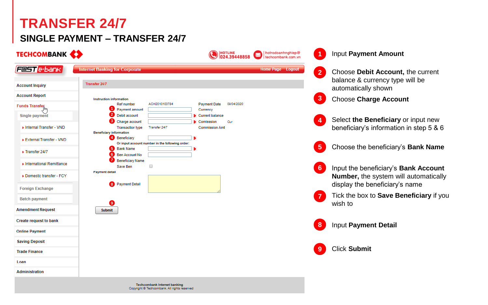## **TRANSFER 24/7**

#### **SINGLE PAYMENT – TRANSFER 24/7**

| <b>TECHCOMBANK (2)</b>                             |                                                           |                                                                                     |                                      | <b>HOTLINE</b><br>024.39448858 | hotrodoanhnghiep@<br>X<br>techcombank.com.vn | -1             | <b>Input Payment Amount</b>                                             |
|----------------------------------------------------|-----------------------------------------------------------|-------------------------------------------------------------------------------------|--------------------------------------|--------------------------------|----------------------------------------------|----------------|-------------------------------------------------------------------------|
| <b>F@ST</b> e·bank                                 | <b>Internet Banking for Corporate</b><br>Transfer 24/7    |                                                                                     |                                      |                                | Home Page Logout                             | $\overline{2}$ | Choose Debit Account, the current<br>balance & currency type will be    |
| <b>Account Inquiry</b>                             |                                                           |                                                                                     |                                      |                                |                                              |                | automatically shown                                                     |
| <b>Account Report</b>                              | <b>Instruction information</b>                            |                                                                                     |                                      |                                |                                              | 3 <sup>2</sup> | <b>Choose Charge Account</b>                                            |
| <b>Funds Transfer</b>                              | <b>Ref</b> number<br>Payment amount                       | ACH2010100784                                                                       | <b>Payment Date</b><br>Currency      | 09/04/2020                     |                                              |                |                                                                         |
| <b>Single payment</b>                              | Debit account<br>Charge account                           |                                                                                     | <b>Current balance</b><br>Comisssion |                                |                                              | $\overline{4}$ | Select the Beneficiary or input new                                     |
| • Internal Transfer - VND                          | <b>Transaction type</b><br><b>Beneficiary information</b> | Transfer 24/7                                                                       | <b>Commission Amt</b>                | Our                            |                                              |                | beneficiary's information in step 5 & 6                                 |
| External Transfer - VND                            | 4 Beneficiary                                             | Or input account number in the following order:                                     |                                      |                                |                                              |                |                                                                         |
| Transfer 24/7                                      | <b>63</b> Bank Name<br>6 Ben Account No                   |                                                                                     |                                      |                                |                                              | $5\phantom{1}$ | Choose the beneficiary's Bank Name                                      |
| • International Remittance                         | <b>Beneficiary Name</b><br>Save Ben                       | 0                                                                                   |                                      |                                |                                              | $6\phantom{1}$ | Input the beneficiary's Bank Account                                    |
| Domestic transfer - FCY<br><b>Foreign Exchange</b> | <b>Payment detail</b><br>8 Payment Detail                 |                                                                                     |                                      |                                |                                              |                | Number, the system will automatically<br>display the beneficiary's name |
| <b>Batch payment</b>                               |                                                           |                                                                                     |                                      |                                |                                              | $\overline{7}$ | Tick the box to Save Beneficiary if you                                 |
| <b>Amendment Request</b>                           | ◉<br><b>Submit</b>                                        |                                                                                     |                                      |                                |                                              |                | wish to                                                                 |
|                                                    |                                                           |                                                                                     |                                      |                                |                                              |                |                                                                         |
| Create request to bank                             |                                                           |                                                                                     |                                      |                                |                                              | 8              | <b>Input Payment Detail</b>                                             |
| <b>Online Payment</b>                              |                                                           |                                                                                     |                                      |                                |                                              |                |                                                                         |
| <b>Saving Deposit</b>                              |                                                           |                                                                                     |                                      |                                |                                              |                |                                                                         |
| <b>Trade Finance</b>                               |                                                           |                                                                                     |                                      |                                |                                              | 9              | <b>Click Submit</b>                                                     |
| Loan                                               |                                                           |                                                                                     |                                      |                                |                                              |                |                                                                         |
| <b>Administration</b>                              |                                                           |                                                                                     |                                      |                                |                                              |                |                                                                         |
|                                                    |                                                           | <b>Techcombank Internet banking</b><br>Copyright @ Techcombank. All rights reserved |                                      |                                |                                              |                |                                                                         |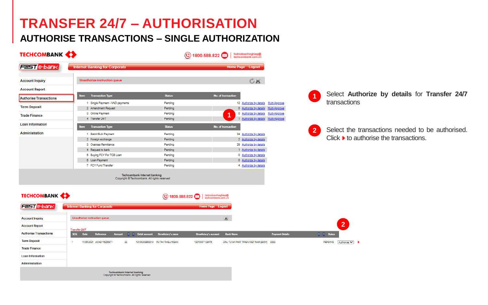### **TRANSFER 24/7 – AUTHORISATION AUTHORISE TRANSACTIONS – SINGLE AUTHORIZATION**

| <b>TECHCOMBANK &lt;&gt;</b>   |                                                                                                            |                                                   | <b>Q</b> 1800.588.822                            | hotrodoanhnghiep@<br>techcombank.com.vn                                       |                        |                      |                       |
|-------------------------------|------------------------------------------------------------------------------------------------------------|---------------------------------------------------|--------------------------------------------------|-------------------------------------------------------------------------------|------------------------|----------------------|-----------------------|
| <b>Festle-bank</b>            | <b>Internet Banking for Corporate</b>                                                                      |                                                   |                                                  | Home Page Logout                                                              |                        |                      |                       |
| <b>Account Inquiry</b>        | <b>Unauthorize instruction queue</b>                                                                       |                                                   |                                                  | ĜB.                                                                           |                        |                      |                       |
| <b>Account Report</b>         |                                                                                                            |                                                   |                                                  |                                                                               |                        |                      |                       |
| <b>Authorise Transactions</b> | <b>Transaction Type</b><br>ltem                                                                            | <b>Status</b>                                     | No. of transaction                               |                                                                               |                        | $\blacktriangleleft$ | Select Autl           |
| <b>Term Deposit</b>           | 1 Single Payment - VND payments<br>2 Amendment Request                                                     | Pending<br>Pending                                |                                                  | 12 Authorize by details Multi-Approve<br>0 Authorize by details Multi-Approve |                        |                      | transactions          |
|                               | 3 Online Payment                                                                                           | Pending                                           |                                                  | 0 Authorize by details Multi-Approve                                          |                        |                      |                       |
| <b>Trade Finance</b>          | 4 Transfer 24/7                                                                                            | Pending                                           |                                                  | 1 Authorize by details Multi-Approve                                          |                        |                      |                       |
| <b>Loan Information</b>       |                                                                                                            | <b>Status</b>                                     | No. of transaction                               |                                                                               |                        |                      |                       |
| <b>Administration</b>         | <b>Transaction Type</b><br>ltem l                                                                          |                                                   |                                                  |                                                                               |                        | 2 <sup>1</sup>       | Select the t          |
|                               | 1 Batch/Bulk Payment                                                                                       | Pending                                           |                                                  | 24 Authorize by details                                                       |                        |                      | Click ▶ to au         |
|                               | 2 Foreign exchange                                                                                         | Pending                                           |                                                  | 2 Authorize by details                                                        |                        |                      |                       |
|                               | 3 Oversea Remittance                                                                                       | Pending                                           |                                                  | 29 Authorize by details                                                       |                        |                      |                       |
|                               | 4 Request to bank                                                                                          | Pending                                           |                                                  | 1 Authorize by details                                                        |                        |                      |                       |
|                               | 5 Buying FCY For TCB Loan<br>6 Loan Payment                                                                | Pending<br>Pending                                |                                                  | 0 Authorize by details                                                        |                        |                      |                       |
|                               | 7 FCY Fund Transfer                                                                                        | Pending                                           |                                                  | 0 Authorize by details<br>4 Authorize by details                              |                        |                      |                       |
|                               | <b>Techcombank Internet banking</b>                                                                        | Copyright @ Techcombank. All rights reserved      |                                                  |                                                                               |                        |                      |                       |
| <b>TECHCOMBANK (3)</b>        |                                                                                                            | $\circled{1800.588.822}$                          | hotrodoanhnghiep@<br>techcombank.com.vn          |                                                                               |                        |                      |                       |
| <b>Festle-bank</b>            | <b>Internet Banking for Corporate</b>                                                                      |                                                   | Home Page Logout                                 |                                                                               |                        |                      |                       |
| <b>Account Inquiry</b>        | Unauthorize instruction queue                                                                              |                                                   | U.                                               |                                                                               |                        |                      |                       |
| <b>Account Report</b>         |                                                                                                            |                                                   |                                                  |                                                                               |                        |                      | $\overline{2}$        |
| <b>Authorise Transactions</b> | <b>Transfer 24/7</b><br><b>SEQ</b><br><b>Reference</b><br><b>Amount</b><br><b>Date</b><br>$\geq$<br>$\geq$ | <b>Debit account</b><br><b>Beneficiary's name</b> | <b>Beneficiary's account</b><br><b>Bank Name</b> |                                                                               | <b>Payment Details</b> |                      | $>$ > Status          |
| <b>Term Deposit</b>           | 11/06/2021 ACH2116205871<br>22<br>$\overline{1}$                                                           | 19135209863018 VU THI THIEU NGAN                  | 12010007128475                                   | DAU TU VA PHAT TRIEN VIET NAM (BIDV) 3333                                     |                        |                      | PENDING Authorise V > |
| <b>Trade Finance</b>          |                                                                                                            |                                                   |                                                  |                                                                               |                        |                      |                       |
| <b>Loan Information</b>       |                                                                                                            |                                                   |                                                  |                                                                               |                        |                      |                       |
| <b>Administration</b>         |                                                                                                            |                                                   |                                                  |                                                                               |                        |                      |                       |
|                               | <b>Techcombank Internet banking</b><br>Copyright @ Techcombank. All rights reserved                        |                                                   |                                                  |                                                                               |                        |                      |                       |

**elect Authorize by details for Transfer 24/7** ansactions

Select the transactions needed to be authorised. Click  $\blacktriangleright$  to authorise the transactions.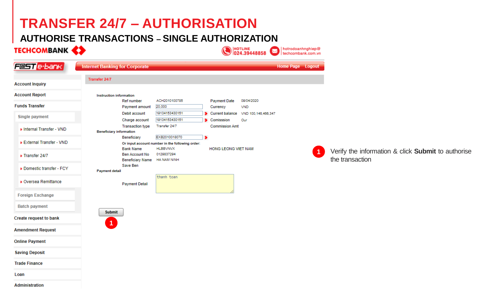## **TRANSFER 24/7 – AUTHORISATION**

#### **AUTHORISE TRANSACTIONS – SINGLE AUTHORIZATION**

**Festle-bank Internet Banking for Corporate** Home Page Logout Transfer 24/7 **Account Inquiry Account Report Instruction information Ref number** ACH2010100785 **Payment Date** 09/04/2020 **Funds Transfer** Payment amount 20,000 Currency **VND** Debit account 19134153430151 Current balance VND 100.146.466.347 **Single payment** Charge account 19134153430151 Comisssion Our **Transaction type** Transfer 24/7 **Commission Amt** • Internal Transfer - VND **Beneficiary information** EXB2010018070 Beneficiary **External Transfer - VND** Or input account number in the following order: **Bank Name HLBBVNVX** HONG LEONG VIET NAM **1** Verify the information & click **Submit** to authorise **Ben Account No** 0129837294 Transfer 24/7 the transaction **Beneficiary Name HA NAM NINH** Save Ben Domestic transfer - FCY **Payment detail** thanh toan • Oversea Remittance **Payment Detail Foreign Exchange Batch payment Submit Create request to bank 1Amendment Request Online Payment Saving Deposit** 

**HOTLINE**<br>024.39448858

 $\blacksquare$ 

Inotrodoanhnghiep@

techcombank.com.vn

**Trade Finance** 

**TECHCOMBANK &** 

Loan

Administration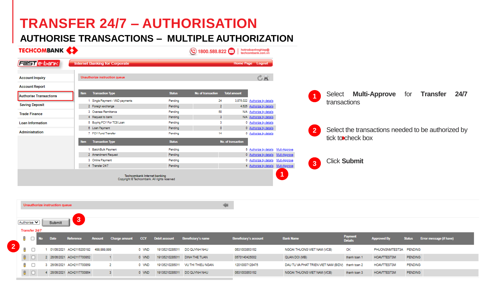## **TRANSFER 24/7 – AUTHORISATION**

#### **AUTHORISE TRANSACTIONS – MULTIPLE AUTHORIZATION**

| <b>TECHCOMBANK (2)</b>        |                                                                                     |               |                    | <sup>t</sup> 1800.588.822 de la hotrodoanhnghiep@ |                |                                                           |
|-------------------------------|-------------------------------------------------------------------------------------|---------------|--------------------|---------------------------------------------------|----------------|-----------------------------------------------------------|
| <b>Fastle-bank</b>            | <b>Internet Banking for Corporate</b>                                               |               |                    | Home Page Logout                                  |                |                                                           |
| <b>Account Inquiry</b>        | Unauthorize instruction queue                                                       |               |                    | ČE.                                               |                |                                                           |
| <b>Account Report</b>         |                                                                                     |               |                    |                                                   |                |                                                           |
| <b>Authorise Transactions</b> | <b>Transaction Type</b><br><b>Item</b>                                              | <b>Status</b> | No. of transaction | <b>Total amount</b>                               | 1              | <b>Multi-Approve</b><br>Select<br>24/7<br>Transfer<br>for |
|                               | 1 Single Payment - VND payments                                                     | Pending       | 24                 | 3,875,022 Authorize by details                    |                | transactions                                              |
| <b>Saving Deposit</b>         | 2 Foreign exchange                                                                  | Pending       | $\overline{2}$     | 4,625 Authorize by details                        |                |                                                           |
| <b>Trade Finance</b>          | 3 Oversea Remittance                                                                | Pending       | 58                 | N/A Authorize by details                          |                |                                                           |
|                               | 4 Request to bank                                                                   | Pending       |                    | N/A Authorize by details                          |                |                                                           |
| <b>Loan Information</b>       | 5 Buying FCY For TCB Loan                                                           | Pending       |                    | 0 Authorize by details                            |                |                                                           |
| <b>Administration</b>         | 6 Loan Payment                                                                      | Pending       | $\circ$            | 0 Authorize by details                            | $\overline{2}$ | Select the transactions needed to be authorized by        |
|                               | 7 FCY Fund Transfer                                                                 | Pending       | 14                 | 0 Authorize by details                            |                | tick to check box                                         |
|                               | <b>Transaction Type</b><br><b>Item</b>                                              | <b>Status</b> |                    | No. of transaction                                |                |                                                           |
|                               | 1 Batch/Bulk Payment                                                                | Pending       |                    | 5 Authorize by details Multi-Approve              |                |                                                           |
|                               | 2 Amendment Request                                                                 | Pending       |                    | 0 Authorize by details Multi-Approve              |                |                                                           |
|                               | 3 Online Payment                                                                    | Pending       |                    | 0 Authorize by details Multi-Approve              | $\overline{3}$ | <b>Click Submit</b>                                       |
|                               | 4 Transfer 24/7                                                                     | Pending       |                    | 4 Authorize by details Multi-Approve              |                |                                                           |
|                               | <b>Techcombank Internet banking</b><br>Copyright @ Techcombank. All rights reserved |               |                    |                                                   |                |                                                           |

|        |                 |               | Unauthorize instruction queue |                          |               |                      |            |                |                              | ⇔ |                              |                                                   |                           |                        |                |                                |
|--------|-----------------|---------------|-------------------------------|--------------------------|---------------|----------------------|------------|----------------|------------------------------|---|------------------------------|---------------------------------------------------|---------------------------|------------------------|----------------|--------------------------------|
|        | Authorise V     | Transfer 24/7 | Submit                        | G<br>æ                   |               |                      |            |                |                              |   |                              |                                                   |                           |                        |                |                                |
|        |                 |               | Date                          | Reference                | <b>Amount</b> | <b>Charge amount</b> | <b>CCY</b> | Debit account  | <b>Beneficiary's name</b>    |   | <b>Beneficiary's account</b> | <b>Bank Name</b>                                  | Payment<br><b>Details</b> | <b>Approved By</b>     | <b>Status</b>  | <b>Error message (if have)</b> |
| n<br>- |                 |               |                               | 01/06/2021 ACH2115200192 | 499.999.999   |                      | 0 VND      | 19135210285011 | DO QUYNH NHU                 |   | 0631003853152                | NGOAI THUONG VIET NAM (VCB)                       | OK                        | PHUONGNMTEST3A PENDING |                |                                |
|        | $\theta$ $\Box$ |               |                               | 26/06/2021 ACH2117700852 |               |                      | 0 VND      |                | 19135210285011 DINH THE TUAN |   | 0570140425002                | QUAN DOI (MB)                                     | thanh toan 1              | HOAVTTEST3M            | <b>PENDING</b> |                                |
|        |                 |               |                               | 26/06/2021 ACH2117700859 |               |                      | 0 VND      | 19135210285011 | VU THI THIEU NGAN            |   | 12010007128475               | DAU TU VA PHAT TRIEN VIET NAM (BIDV) thanh toan 2 |                           | <b>HOAVTTEST3M</b>     | <b>PENDING</b> |                                |
|        | $\theta$ $\Box$ |               |                               | 26/08/2021 ACH2117700864 |               |                      | 0 VND      | 19135210285011 | DO QUYNH NHU                 |   | 0631003853152                | NGOAI THUONG VIET NAM (VCB)                       | thanh toan 3              | HOAVTTEST3M            | <b>PENDING</b> |                                |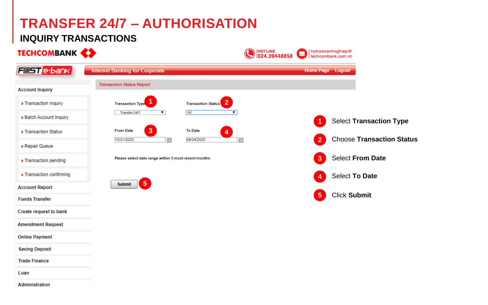## **TRANSFER 24/7 – AUTHORISATION**

#### **INQUIRY TRANSACTIONS**



**Administration**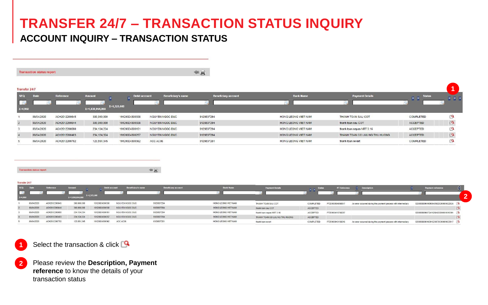## **TRANSFER 24/7 – TRANSACTION STATUS INQUIRY**

#### **ACCOUNT INQUIRY – TRANSACTION STATUS**

|                      | <b>Transaction status report</b> |               |                          |                      |                        | 中宫                         |                     |                                |                      |          |
|----------------------|----------------------------------|---------------|--------------------------|----------------------|------------------------|----------------------------|---------------------|--------------------------------|----------------------|----------|
| <b>Transfer 24/7</b> |                                  |               |                          |                      |                        |                            |                     |                                |                      |          |
| <b>SEQ</b>           | <b>Date</b>                      | Reference     | <b>Amount</b>            | Debit account        | Beneficiary's name     | <b>Beneficiary account</b> | <b>Bank Name</b>    | <b>Payment Details</b>         | <b>Status</b><br>> 5 | $>$ > >  |
|                      |                                  |               |                          |                      |                        |                            |                     |                                |                      |          |
|                      |                                  |               |                          |                      |                        |                            |                     |                                |                      |          |
| $\Sigma = 4,950$     |                                  |               | $\Sigma = 1,838,954,958$ | $\Sigma = 1,323,500$ |                        |                            |                     |                                |                      |          |
|                      | 09/04/2020                       | ACH2012200645 | 300,000,000              | 19120024300338       | <b>NGUYEN NGOC DUC</b> | 9129837294                 | HONG LEONG VIET NAM | THANH TOAN SAU COT             | COMPLETED            |          |
|                      | 09/04/2020                       | ACH2012200644 | 300,000,000              | 19120024300338       | <b>NGUYEN NGOC DUC</b> | 9129837294                 | HONG LEONG VIET NAM | thanh toan sau COT             | ACCEPTED             | C9<br>C9 |
|                      | 09/04/2020                       | ACH2012200080 | 234.134.234              | 19120024300151       | <b>NGUYEN NGOC DUC</b> | 9129837294                 | HONG LEONG VIET NAM | thanh toan napas NRT 3.16      | ACCEPTED             | C9       |
|                      | 09/04/2020                       | ACH2012200403 | 234.124.324              | 19120024300257       | <b>NGUYEN NGOC DUC</b> | 9129837294                 | HONG LEONG VIET NAM | THANH TOAN CO LUU NG THU HUONG | ACCEPTED             | C9       |

ansaction status report

生言

#### Transfer 24/7

| <b>SEQ</b>       |            | "telerenc     | mount                                               | ebit account           | deneticiary's name | <b>Beneficiary account</b> | <b>Bank Name</b>    | <b>Payment Details</b>         | <b>Status</b> | FT Reference     | Description                                                    | Payment reference                  |
|------------------|------------|---------------|-----------------------------------------------------|------------------------|--------------------|----------------------------|---------------------|--------------------------------|---------------|------------------|----------------------------------------------------------------|------------------------------------|
|                  |            |               |                                                     | $\Sigma - 1, 323, 500$ |                    |                            |                     |                                |               |                  |                                                                |                                    |
| $\Sigma = 4,950$ |            |               | $-1.838.954.958$                                    |                        |                    |                            |                     |                                |               |                  |                                                                |                                    |
|                  | 09/04/2020 | ACH2012200645 | a la matematica de la contenentación<br>300.000.000 | 19120024300338         | NGUYEN NGOC DUC    | 9129837294                 | HONG LEONG VIET NAM | THANH TOAN SAU COT             | COMPLETED     | FT2010050609851  | An error occurred during the payment process with intermediary | 0200888899100909405820200001022024 |
|                  | 09/04/2020 | ACH2012200644 | 300,000.000                                         | 19120024300338         | NGUYEN NGOC DUC    | 9129837294                 | HONG LEONG VIET NAM | thanh toan sau COT             | ACCEPTED      |                  |                                                                |                                    |
|                  | 09/04/2020 | ACH2012200080 | 234.134.234                                         | 19120024300151         | NGUYEN NGOC DUC    | 9129837294                 | HONG LEONG VIET NAM | thanh toan napas NRT 3.16      | ACCEPTED      | FT20100415708257 |                                                                | 0200888899072411250420200001015391 |
|                  | 09/04/2020 | ACH2012200403 | 234.124.324                                         | 19120024300257         | NGUYEN NGOC DUC    | 9129837294                 | HONG LEONG VIET NAM | THANH TOAN CO LUU NG THU HUONG | ACCEPTED      |                  |                                                                |                                    |
|                  | 09/04/2020 | ACH2012200782 | 123.551.345                                         | 19120024300362         | ACC AC06           | 0129837281                 | HONG LEONG VIET NAM | thanh toan revert              | COMPLETE      | FT2010004315691  | An error occurred during the payment process with intermediary | 0200888899102915200720200001022817 |



**2** Please review the **Description, Payment reference** to know the details of your transaction status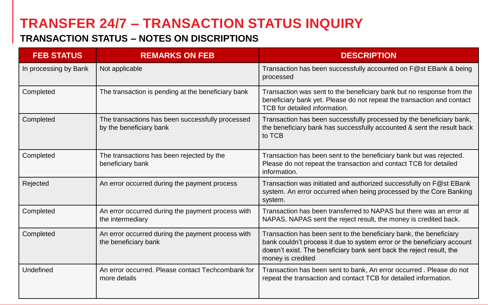## **TRANSFER 24/7 – TRANSACTION STATUS INQUIRY**

#### **TRANSACTION STATUS – NOTES ON DISCRIPTIONS**

| <b>FEB STATUS</b>     | <b>REMARKS ON FEB</b>                                                       | <b>DESCRIPTION</b>                                                                                                                                                                                                                         |
|-----------------------|-----------------------------------------------------------------------------|--------------------------------------------------------------------------------------------------------------------------------------------------------------------------------------------------------------------------------------------|
| In processing by Bank | Not applicable                                                              | Transaction has been successfully accounted on F@st EBank & being<br>processed                                                                                                                                                             |
| Completed             | The transaction is pending at the beneficiary bank                          | Transaction was sent to the beneficiary bank but no response from the<br>beneficiary bank yet. Please do not repeat the transaction and contact<br>TCB for detailed information.                                                           |
| Completed             | The transactions has been successfully processed<br>by the beneficiary bank | Transaction has been successfully processed by the beneficiary bank,<br>the beneficiary bank has successfully accounted & sent the result back<br>to TCB                                                                                   |
| Completed             | The transactions has been rejected by the<br>beneficiary bank               | Transaction has been sent to the beneficiary bank but was rejected.<br>Please do not repeat the transaction and contact TCB for detailed<br>information.                                                                                   |
| Rejected              | An error occurred during the payment process                                | Transaction was initiated and authorized successfully on F@st EBank<br>system. An error occurred when being processed by the Core Banking<br>system.                                                                                       |
| Completed             | An error occurred during the payment process with<br>the intermediary       | Transaction has been transferred to NAPAS but there was an error at<br>NAPAS. NAPAS sent the reject result, the money is credited back.                                                                                                    |
| Completed             | An error occurred during the payment process with<br>the beneficiary bank   | Transaction has been sent to the beneficiary bank, the beneficiary<br>bank couldn't process it due to system error or the beneficiary account<br>doesn't exist. The beneficiary bank sent back the reject result, the<br>money is credited |
| Undefined             | An error occurred. Please contact Techcombank for<br>more details           | Transaction has been sent to bank, An error occurred. Please do not<br>repeat the transaction and contact TCB for detailed information.                                                                                                    |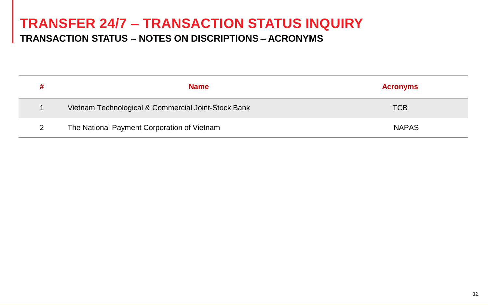## **TRANSFER 24/7 – TRANSACTION STATUS INQUIRY**

#### **TRANSACTION STATUS – NOTES ON DISCRIPTIONS – ACRONYMS**

| <b>Name</b>                                         | <b>Acronyms</b> |
|-----------------------------------------------------|-----------------|
| Vietnam Technological & Commercial Joint-Stock Bank | TCB             |
| The National Payment Corporation of Vietnam         | <b>NAPAS</b>    |